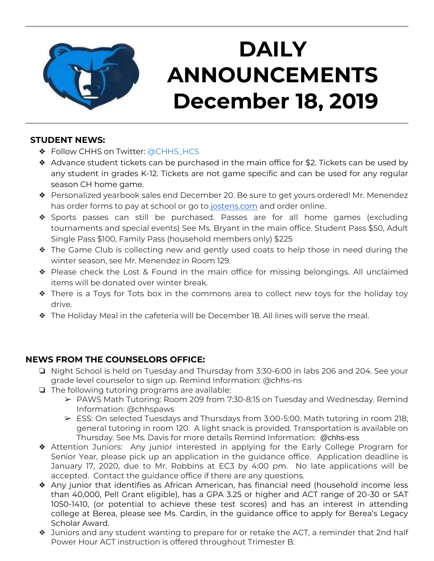

# **DAILY ANNOUNCEMENTS December 18, 2019**

### **STUDENT NEWS:**

- ◆ Follow CHHS on Twitter: [@CHHS\\_HCS](https://twitter.com/CHHS_HCS)
- ❖ Advance student tickets can be purchased in the main office for \$2. Tickets can be used by any student in grades K-12. Tickets are not game specific and can be used for any regular season CH home game.
- ❖ Personalized yearbook sales end December 20. Be sure to get yours ordered! Mr. Menendez has order forms to pay at school or go to [jostens.com](http://jostens.com/) and order online.
- ❖ Sports passes can still be purchased. Passes are for all home games (excluding tournaments and special events) See Ms. Bryant in the main office. Student Pass \$50, Adult Single Pass \$100, Family Pass (household members only) \$225
- ❖ The Game Club is collecting new and gently used coats to help those in need during the winter season, see Mr. Menendez in Room 129.
- ❖ Please check the Lost & Found in the main office for missing belongings. All unclaimed items will be donated over winter break.
- ❖ There is a Toys for Tots box in the commons area to collect new toys for the holiday toy drive.
- ❖ The Holiday Meal in the cafeteria will be December 18. All lines will serve the meal.

### **NEWS FROM THE COUNSELORS OFFICE:**

- ❏ Night School is held on Tuesday and Thursday from 3:30-6:00 in labs 206 and 204. See your grade level counselor to sign up. Remind Information: @chhs-ns
- ❏ The following tutoring programs are available:
	- ➢ PAWS Math Tutoring: Room 209 from 7:30-8:15 on Tuesday and Wednesday. Remind Information: @chhspaws
	- $\triangleright$  ESS: On selected Tuesdays and Thursdays from 3:00-5:00. Math tutoring in room 218; general tutoring in room 120. A light snack is provided. Transportation is available on Thursday. See Ms. Davis for more details Remind Information: @chhs-ess
- ❖ Attention Juniors: Any junior interested in applying for the Early College Program for Senior Year, please pick up an application in the guidance office. Application deadline is January 17, 2020, due to Mr. Robbins at EC3 by 4:00 pm. No late applications will be accepted. Contact the guidance office if there are any questions.
- ❖ Any junior that identifies as African American, has financial need (household income less than 40,000, Pell Grant eligible), has a GPA 3.25 or higher and ACT range of 20-30 or SAT 1050-1410, (or potential to achieve these test scores) and has an interest in attending college at Berea, please see Ms. Cardin, in the guidance office to apply for Berea's Legacy Scholar Award.
- $\clubsuit$  Juniors and any student wanting to prepare for or retake the ACT, a reminder that 2nd half Power Hour ACT instruction is offered throughout Trimester B.